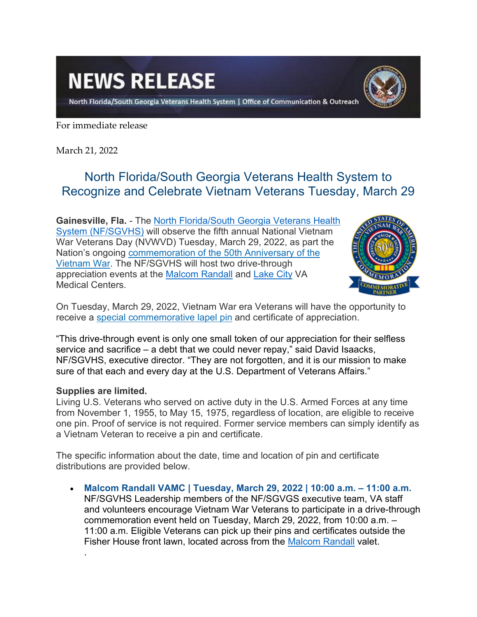## **NEWS RELEASE**

North Florida/South Georgia Veterans Health System | Office of Communication & Outreach



For immediate release

March 21, 2022

## North Florida/South Georgia Veterans Health System to Recognize and Celebrate Vietnam Veterans Tuesday, March 29

**Gainesville, Fla.** - The [North Florida/South Georgia Veterans Health](https://www.va.gov/north-florida-health-care/)  [System \(NF/SGVHS\)](https://www.va.gov/north-florida-health-care/) will observe the fifth annual National Vietnam War Veterans Day (NVWVD) Tuesday, March 29, 2022, as part the Nation's ongoing [commemoration of the 50th](https://www.vietnamwar50th.com/) Anniversary of the [Vietnam War.](https://www.vietnamwar50th.com/) The NF/SGVHS will host two drive-through appreciation events at the [Malcom Randall](https://www.va.gov/north-florida-health-care/locations/malcom-randall-department-of-veterans-affairs-medical-center/) and [Lake City](https://www.va.gov/north-florida-health-care/locations/lake-city-va-medical-center/) VA Medical Centers.



On Tuesday, March 29, 2022, Vietnam War era Veterans will have the opportunity to receive a [special commemorative lapel pin](https://www.vietnamwar50th.com/about/vietnam_veteran_lapel_pin/) and certificate of appreciation.

"This drive-through event is only one small token of our appreciation for their selfless service and sacrifice – a debt that we could never repay," said David Isaacks, NF/SGVHS, executive director. "They are not forgotten, and it is our mission to make sure of that each and every day at the U.S. Department of Veterans Affairs."

## **Supplies are limited.**

.

Living U.S. Veterans who served on active duty in the U.S. Armed Forces at any time from November 1, 1955, to May 15, 1975, regardless of location, are eligible to receive one pin. Proof of service is not required. Former service members can simply identify as a Vietnam Veteran to receive a pin and certificate.

The specific information about the date, time and location of pin and certificate distributions are provided below.

• **Malcom Randall VAMC | Tuesday, March 29, 2022 | 10:00 a.m. – 11:00 a.m.**  NF/SGVHS Leadership members of the NF/SGVGS executive team, VA staff and volunteers encourage Vietnam War Veterans to participate in a drive-through commemoration event held on Tuesday, March 29, 2022, from 10:00 a.m. – 11:00 a.m. Eligible Veterans can pick up their pins and certificates outside the Fisher House front lawn, located across from the [Malcom Randall](https://www.va.gov/north-florida-health-care/locations/malcom-randall-department-of-veterans-affairs-medical-center/) valet.